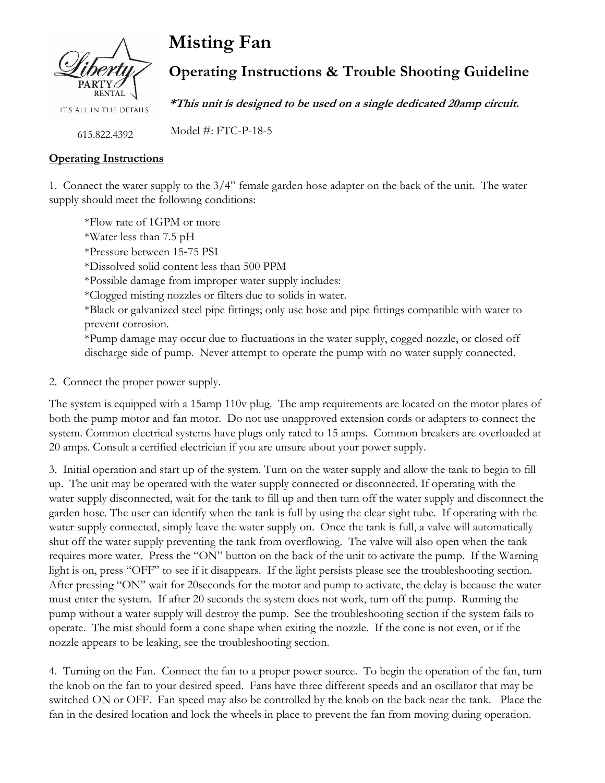

IT'S ALL IN THE DETAILS.

615.822.4392

#### **Operating Instructions**

1. Connect the water supply to the 3/4" female garden hose adapter on the back of the unit. The water supply should meet the following conditions:

\*Flow rate of 1GPM or more \*Water less than 7.5 pH \*Pressure between 15‐75 PSI \*Dissolved solid content less than 500 PPM \*Possible damage from improper water supply includes: \*Clogged misting nozzles or filters due to solids in water. \*Black or galvanized steel pipe fittings; only use hose and pipe fittings compatible with water to prevent corrosion. \*Pump damage may occur due to fluctuations in the water supply, cogged nozzle, or closed off discharge side of pump. Never attempt to operate the pump with no water supply connected.

2. Connect the proper power supply.

The system is equipped with a 15amp 110v plug. The amp requirements are located on the motor plates of both the pump motor and fan motor. Do not use unapproved extension cords or adapters to connect the system. Common electrical systems have plugs only rated to 15 amps. Common breakers are overloaded at 20 amps. Consult a certified electrician if you are unsure about your power supply.

3. Initial operation and start up of the system. Turn on the water supply and allow the tank to begin to fill up. The unit may be operated with the water supply connected or disconnected. If operating with the water supply disconnected, wait for the tank to fill up and then turn off the water supply and disconnect the garden hose. The user can identify when the tank is full by using the clear sight tube. If operating with the water supply connected, simply leave the water supply on. Once the tank is full, a valve will automatically shut off the water supply preventing the tank from overflowing. The valve will also open when the tank requires more water. Press the "ON" button on the back of the unit to activate the pump. If the Warning light is on, press "OFF" to see if it disappears. If the light persists please see the troubleshooting section. After pressing "ON" wait for 20seconds for the motor and pump to activate, the delay is because the water must enter the system. If after 20 seconds the system does not work, turn off the pump. Running the pump without a water supply will destroy the pump. See the troubleshooting section if the system fails to operate. The mist should form a cone shape when exiting the nozzle. If the cone is not even, or if the nozzle appears to be leaking, see the troubleshooting section.

4. Turning on the Fan. Connect the fan to a proper power source. To begin the operation of the fan, turn the knob on the fan to your desired speed. Fans have three different speeds and an oscillator that may be switched ON or OFF. Fan speed may also be controlled by the knob on the back near the tank. Place the fan in the desired location and lock the wheels in place to prevent the fan from moving during operation.

# **Misting Fan**

## **Operating Instructions & Trouble Shooting Guideline**

**\*This unit is designed to be used on a single dedicated 20amp circuit.**

Model #: FTC-P-18-5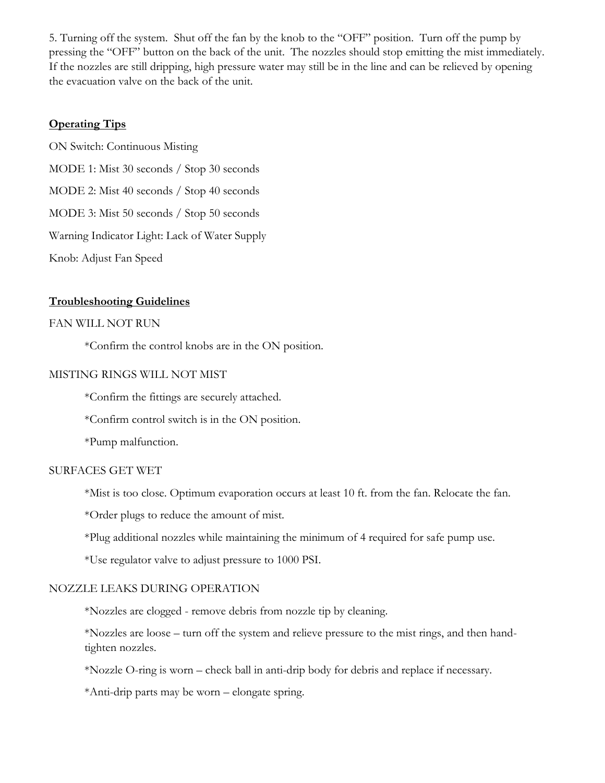5. Turning off the system. Shut off the fan by the knob to the "OFF" position. Turn off the pump by pressing the "OFF" button on the back of the unit. The nozzles should stop emitting the mist immediately. If the nozzles are still dripping, high pressure water may still be in the line and can be relieved by opening the evacuation valve on the back of the unit.

#### **Operating Tips**

ON Switch: Continuous Misting MODE 1: Mist 30 seconds / Stop 30 seconds MODE 2: Mist 40 seconds / Stop 40 seconds MODE 3: Mist 50 seconds / Stop 50 seconds Warning Indicator Light: Lack of Water Supply Knob: Adjust Fan Speed

#### **Troubleshooting Guidelines**

#### FAN WILL NOT RUN

\*Confirm the control knobs are in the ON position.

#### MISTING RINGS WILL NOT MIST

\*Confirm the fittings are securely attached.

\*Confirm control switch is in the ON position.

\*Pump malfunction.

#### SURFACES GET WET

\*Mist is too close. Optimum evaporation occurs at least 10 ft. from the fan. Relocate the fan.

\*Order plugs to reduce the amount of mist.

\*Plug additional nozzles while maintaining the minimum of 4 required for safe pump use.

\*Use regulator valve to adjust pressure to 1000 PSI.

#### NOZZLE LEAKS DURING OPERATION

\*Nozzles are clogged - remove debris from nozzle tip by cleaning.

\*Nozzles are loose – turn off the system and relieve pressure to the mist rings, and then handtighten nozzles.

\*Nozzle O-ring is worn – check ball in anti-drip body for debris and replace if necessary.

\*Anti-drip parts may be worn – elongate spring.